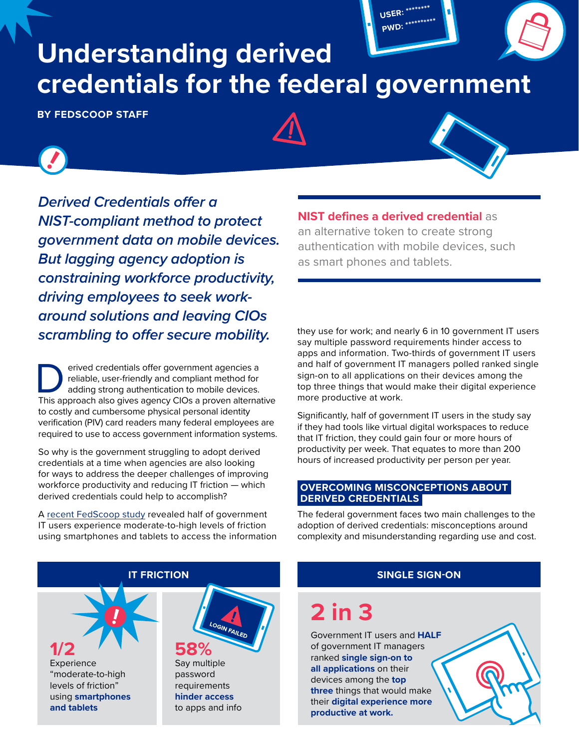# **Understanding derived credentials for the federal government**

**BY FEDSCOOP STAFF**



*Derived Credentials offer a NIST-compliant method to protect government data on mobile devices. But lagging agency adoption is constraining workforce productivity, driving employees to seek workaround solutions and leaving CIOs scrambling to offer secure mobility.*

Perived credentials offer government agencies a<br>reliable, user-friendly and compliant method for<br>adding strong authentication to mobile devices.<br>This approach also gives agency CIOs a proven alterna reliable, user-friendly and compliant method for adding strong authentication to mobile devices. This approach also gives agency CIOs a proven alternative to costly and cumbersome physical personal identity verification (PIV) card readers many federal employees are required to use to access government information systems.

So why is the government struggling to adopt derived credentials at a time when agencies are also looking for ways to address the deeper challenges of improving workforce productivity and reducing IT friction — which derived credentials could help to accomplish?

A [recent FedScoop study](https://www.fedscoop.com/virtualization-improve-government-productivity-four-hours-per-week/) revealed half of government IT users experience moderate-to-high levels of friction using smartphones and tablets to access the information **NIST defines a derived credential** as

**USER: \*\*\*\*\*\*\*\* PWD: \*\*\*\*\*\*\*\*\*\***

an alternative token to create strong authentication with mobile devices, such as smart phones and tablets.

they use for work; and nearly 6 in 10 government IT users say multiple password requirements hinder access to apps and information. Two-thirds of government IT users and half of government IT managers polled ranked single sign-on to all applications on their devices among the top three things that would make their digital experience more productive at work.

Significantly, half of government IT users in the study say if they had tools like virtual digital workspaces to reduce that IT friction, they could gain four or more hours of productivity per week. That equates to more than 200 hours of increased productivity per person per year.

#### **OVERCOMING MISCONCEPTIONS ABOUT DERIVED CREDENTIALS**

The federal government faces two main challenges to the adoption of derived credentials: misconceptions around complexity and misunderstanding regarding use and cost.

### **1/2** Experience "moderate-to-high levels of friction" **58%** Say multiple password **IT FRICTION**

using **smartphones and tablets**



requirements **hinder access** to apps and info

#### **SINGLE SIGN-ON**

## **2 in 3**

Government IT users and **HALF** of government IT managers ranked **single sign-on to all applications** on their devices among the **top three** things that would make their **digital experience more productive at work.**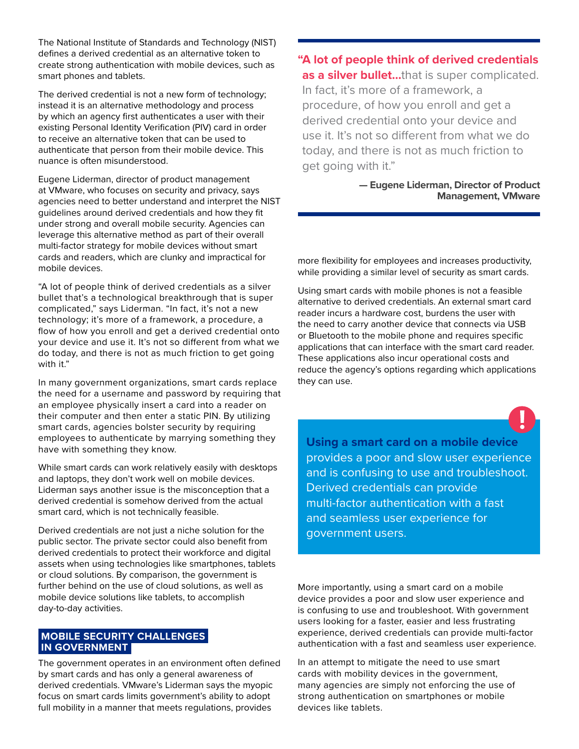The National Institute of Standards and Technology (NIST) defines a derived credential as an alternative token to create strong authentication with mobile devices, such as smart phones and tablets.

The derived credential is not a new form of technology; instead it is an alternative methodology and process by which an agency first authenticates a user with their existing Personal Identity Verification (PIV) card in order to receive an alternative token that can be used to authenticate that person from their mobile device. This nuance is often misunderstood.

Eugene Liderman, director of product management at VMware, who focuses on security and privacy, says agencies need to better understand and interpret the NIST guidelines around derived credentials and how they fit under strong and overall mobile security. Agencies can leverage this alternative method as part of their overall multi-factor strategy for mobile devices without smart cards and readers, which are clunky and impractical for mobile devices.

"A lot of people think of derived credentials as a silver bullet that's a technological breakthrough that is super complicated," says Liderman. "In fact, it's not a new technology; it's more of a framework, a procedure, a flow of how you enroll and get a derived credential onto your device and use it. It's not so different from what we do today, and there is not as much friction to get going with it."

In many government organizations, smart cards replace the need for a username and password by requiring that an employee physically insert a card into a reader on their computer and then enter a static PIN. By utilizing smart cards, agencies bolster security by requiring employees to authenticate by marrying something they have with something they know.

While smart cards can work relatively easily with desktops and laptops, they don't work well on mobile devices. Liderman says another issue is the misconception that a derived credential is somehow derived from the actual smart card, which is not technically feasible.

Derived credentials are not just a niche solution for the public sector. The private sector could also benefit from derived credentials to protect their workforce and digital assets when using technologies like smartphones, tablets or cloud solutions. By comparison, the government is further behind on the use of cloud solutions, as well as mobile device solutions like tablets, to accomplish day-to-day activities.

#### **MOBILE SECURITY CHALLENGES IN GOVERNMENT**

The government operates in an environment often defined by smart cards and has only a general awareness of derived credentials. VMware's Liderman says the myopic focus on smart cards limits government's ability to adopt full mobility in a manner that meets regulations, provides

**"A lot of people think of derived credentials as a silver bullet…**that is super complicated. In fact, it's more of a framework, a procedure, of how you enroll and get a derived credential onto your device and use it. It's not so different from what we do today, and there is not as much friction to get going with it."

> **— Eugene Liderman, Director of Product Management, VMware**

more flexibility for employees and increases productivity, while providing a similar level of security as smart cards.

Using smart cards with mobile phones is not a feasible alternative to derived credentials. An external smart card reader incurs a hardware cost, burdens the user with the need to carry another device that connects via USB or Bluetooth to the mobile phone and requires specific applications that can interface with the smart card reader. These applications also incur operational costs and reduce the agency's options regarding which applications they can use.

**Using a smart card on a mobile device** provides a poor and slow user experience and is confusing to use and troubleshoot. Derived credentials can provide multi-factor authentication with a fast and seamless user experience for government users.

More importantly, using a smart card on a mobile device provides a poor and slow user experience and is confusing to use and troubleshoot. With government users looking for a faster, easier and less frustrating experience, derived credentials can provide multi-factor authentication with a fast and seamless user experience.

In an attempt to mitigate the need to use smart cards with mobility devices in the government, many agencies are simply not enforcing the use of strong authentication on smartphones or mobile devices like tablets.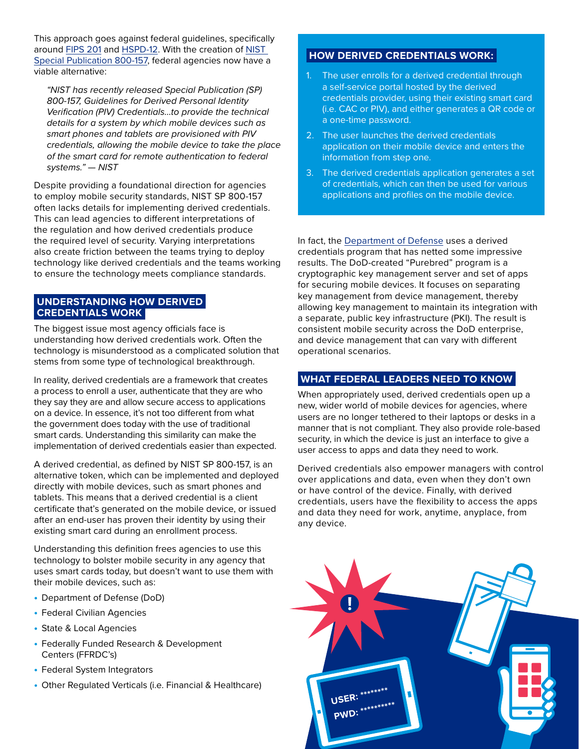This approach goes against federal guidelines, specifically around [FIPS 201](https://www.nist.gov/publications/interfaces-personal-identity-verification-including-updates-02-08-2016) and [HSPD-12](https://www.dhs.gov/homeland-security-presidential-directive-12). With the creation of [NIST](https://www.nist.gov/publications/release-nist-special-publication-800-157-guidelines-derived-personal-identity)  [Special Publication 800-157,](https://www.nist.gov/publications/release-nist-special-publication-800-157-guidelines-derived-personal-identity) federal agencies now have a viable alternative:

*"NIST has recently released Special Publication (SP) 800-157, Guidelines for Derived Personal Identity Verification (PIV) Credentials…to provide the technical details for a system by which mobile devices such as smart phones and tablets are provisioned with PIV credentials, allowing the mobile device to take the place of the smart card for remote authentication to federal systems." — [NIST](https://www.nist.gov/publications/release-nist-special-publication-800-157-guidelines-derived-personal-identity)*

Despite providing a foundational direction for agencies to employ mobile security standards, NIST SP 800-157 often lacks details for implementing derived credentials. This can lead agencies to different interpretations of the regulation and how derived credentials produce the required level of security. Varying interpretations also create friction between the teams trying to deploy technology like derived credentials and the teams working to ensure the technology meets compliance standards.

#### **UNDERSTANDING HOW DERIVED CREDENTIALS WORK**

The biggest issue most agency officials face is understanding how derived credentials work. Often the technology is misunderstood as a complicated solution that stems from some type of technological breakthrough.

In reality, derived credentials are a framework that creates a process to enroll a user, authenticate that they are who they say they are and allow secure access to applications on a device. In essence, it's not too different from what the government does today with the use of traditional smart cards. Understanding this similarity can make the implementation of derived credentials easier than expected.

A derived credential, as defined by NIST SP 800-157, is an alternative token, which can be implemented and deployed directly with mobile devices, such as smart phones and tablets. This means that a derived credential is a client certificate that's generated on the mobile device, or issued after an end-user has proven their identity by using their existing smart card during an enrollment process.

Understanding this definition frees agencies to use this technology to bolster mobile security in any agency that uses smart cards today, but doesn't want to use them with their mobile devices, such as:

- **•** Department of Defense (DoD)
- **•** Federal Civilian Agencies
- **•** State & Local Agencies
- **•** Federally Funded Research & Development Centers (FFRDC's)
- **•** Federal System Integrators
- **•** Other Regulated Verticals (i.e. Financial & Healthcare)

#### **HOW DERIVED CREDENTIALS WORK:**

- 1. The user enrolls for a derived credential through a self-service portal hosted by the derived credentials provider, using their existing smart card (i.e. CAC or PIV), and either generates a QR code or a one-time password.
- 2. The user launches the derived credentials application on their mobile device and enters the information from step one.
- 3. The derived credentials application generates a set of credentials, which can then be used for various applications and profiles on the mobile device.

In fact, the [Department of Defense](https://iase.disa.mil/pki-pke/Pages/purebred.aspx) uses a derived credentials program that has netted some impressive results. The DoD-created "Purebred" program is a cryptographic key management server and set of apps for securing mobile devices. It focuses on separating key management from device management, thereby allowing key management to maintain its integration with a separate, public key infrastructure (PKI). The result is consistent mobile security across the DoD enterprise, and device management that can vary with different operational scenarios.

#### **WHAT FEDERAL LEADERS NEED TO KNOW**

When appropriately used, derived credentials open up a new, wider world of mobile devices for agencies, where users are no longer tethered to their laptops or desks in a manner that is not compliant. They also provide role-based security, in which the device is just an interface to give a user access to apps and data they need to work.

Derived credentials also empower managers with control over applications and data, even when they don't own or have control of the device. Finally, with derived credentials, users have the flexibility to access the apps and data they need for work, anytime, anyplace, from any device.